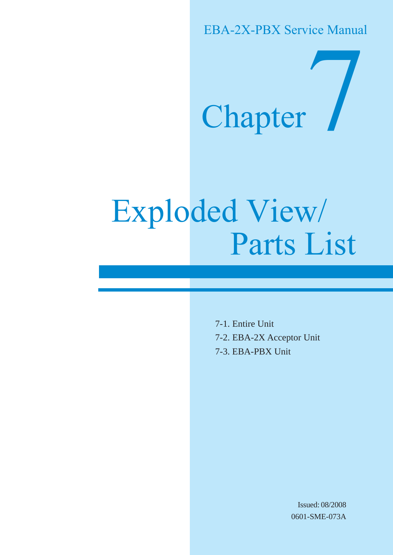EBA-2X-PBX Service Manual

# Chapter

# Exploded View/ Parts List

7-1. Entire Unit 7-2. EBA-2X Acceptor Unit 7-3. EBA-PBX Unit

> Issued: 08/2008 0601-SME-073A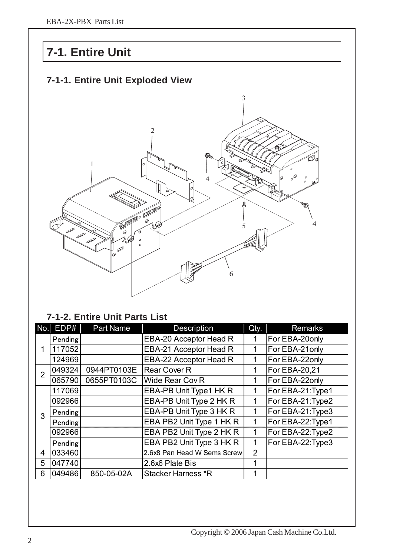### **7-1. Entire Unit**

#### **7-1-1. Entire Unit Exploded View**



#### **7-1-2. Entire Unit Parts List**

| No.            | EDP#    | Part Name   | Description                 | Qty.           | <b>Remarks</b>    |
|----------------|---------|-------------|-----------------------------|----------------|-------------------|
|                | Pending |             | EBA-20 Acceptor Head R      | 1              | For EBA-20only    |
|                | 117052  |             | EBA-21 Acceptor Head R      | 1              | For EBA-21 only   |
|                | 124969  |             | EBA-22 Acceptor Head R      | 1              | For EBA-22only    |
| $\overline{2}$ | 049324  | 0944PT0103E | <b>Rear Cover R</b>         | 1              | For EBA-20,21     |
|                | 065790  | 0655PT0103C | <b>Wide Rear Cov R</b>      | 1              | For EBA-22only    |
|                | 117069  |             | EBA-PB Unit Type1 HK R      | 1              | For EBA-21: Type1 |
|                | 092966  |             | EBA-PB Unit Type 2 HK R     | 1              | For EBA-21: Type2 |
| 3              | Pending |             | EBA-PB Unit Type 3 HK R     | 1              | For EBA-21: Type3 |
|                | Pending |             | EBA PB2 Unit Type 1 HK R    | 1              | For EBA-22: Type1 |
|                | 092966  |             | EBA PB2 Unit Type 2 HK R    | 1              | For EBA-22: Type2 |
|                | Pending |             | EBA PB2 Unit Type 3 HK R    | 1              | For EBA-22: Type3 |
| $\overline{4}$ | 033460  |             | 2.6x8 Pan Head W Sems Screw | $\overline{2}$ |                   |
| 5              | 047740  |             | 2.6x6 Plate Bis             | 1              |                   |
| 6              | 049486  | 850-05-02A  | <b>Stacker Harness *R</b>   |                |                   |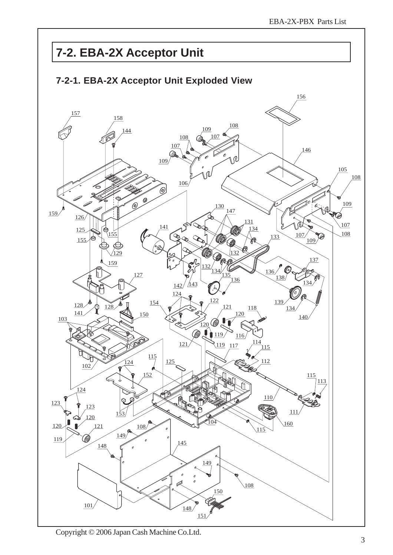## **7-2. EBA-2X Acceptor Unit**



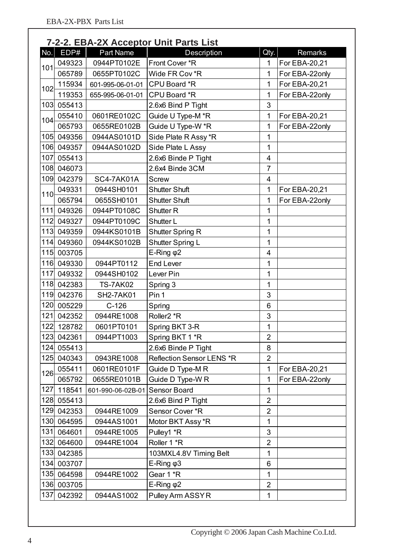|       | 7-2-2. EBA-2X Acceptor Unit Parts List |                   |                           |                |                |  |
|-------|----------------------------------------|-------------------|---------------------------|----------------|----------------|--|
| No.   | EDP#                                   | Part Name         | Description               | Qty.           | Remarks        |  |
| 101   | 049323                                 | 0944PT0102E       | Front Cover *R            | $\mathbf 1$    | For EBA-20,21  |  |
|       | 065789                                 | 0655PT0102C       | Wide FR Cov *R            | 1              | For EBA-22only |  |
| 102   | 115934                                 | 601-995-06-01-01  | CPU Board *R              | 1              | For EBA-20,21  |  |
|       | 119353                                 | 655-995-06-01-01  | CPU Board *R              | 1              | For EBA-22only |  |
| 103   | 055413                                 |                   | 2.6x6 Bind P Tight        | 3              |                |  |
| 104   | 055410                                 | 0601RE0102C       | Guide U Type-M *R         | 1              | For EBA-20,21  |  |
|       | 065793                                 | 0655RE0102B       | Guide U Type-W *R         | 1              | For EBA-22only |  |
| 105   | 049356                                 | 0944AS0101D       | Side Plate R Assy *R      | 1              |                |  |
| 106   | 049357                                 | 0944AS0102D       | Side Plate L Assy         | 1              |                |  |
| 107   | 055413                                 |                   | 2.6x6 Binde P Tight       | 4              |                |  |
| 108   | 046073                                 |                   | 2.6x4 Binde 3CM           | $\overline{7}$ |                |  |
| 109   | 042379                                 | SC4-7AK01A        | <b>Screw</b>              | 4              |                |  |
| 110   | 049331                                 | 0944SH0101        | <b>Shutter Shuft</b>      | 1              | For EBA-20,21  |  |
|       | 065794                                 | 0655SH0101        | <b>Shutter Shuft</b>      | 1              | For EBA-22only |  |
| $111$ | 049326                                 | 0944PT0108C       | <b>Shutter R</b>          | 1              |                |  |
| 112   | 049327                                 | 0944PT0109C       | Shutter L                 | 1              |                |  |
| 113   | 049359                                 | 0944KS0101B       | <b>Shutter Spring R</b>   | 1              |                |  |
| 114   | 049360                                 | 0944KS0102B       | Shutter Spring L          | 1              |                |  |
| 115   | 003705                                 |                   | E-Ring $\varphi$ 2        | 4              |                |  |
| 116   | 049330                                 | 0944PT0112        | <b>End Lever</b>          | 1              |                |  |
| 117   | 049332                                 | 0944SH0102        | Lever Pin                 | 1              |                |  |
| 118   | 042383                                 | <b>TS-7AK02</b>   | Spring 3                  | 1              |                |  |
| 119   | 042376                                 | <b>SH2-7AK01</b>  | Pin 1                     | 3              |                |  |
| 120   | 005229                                 | $C-126$           | Spring                    | 6              |                |  |
| 121   | 042352                                 | 0944RE1008        | Roller <sub>2</sub> *R    | 3              |                |  |
|       | 122 128782                             | 0601PT0101        | Spring BKT 3-R            | 1              |                |  |
| 123   | 042361                                 | 0944PT1003        | Spring BKT 1 *R           | $\overline{2}$ |                |  |
| 124   | 055413                                 |                   | 2.6x6 Binde P Tight       | 8              |                |  |
| 125   | 040343                                 | 0943RE1008        | Reflection Sensor LENS *R | $\overline{2}$ |                |  |
| 126   | 055411                                 | 0601RE0101F       | Guide D Type-M R          | 1              | For EBA-20,21  |  |
|       | 065792                                 | 0655RE0101B       | Guide D Type-W R          | 1              | For EBA-22only |  |
| 127   | 118541                                 | 601-990-06-02B-01 | Sensor Board              | 1              |                |  |
|       | 128 055413                             |                   | 2.6x6 Bind P Tight        | $\overline{2}$ |                |  |
| 129   | 042353                                 | 0944RE1009        | Sensor Cover *R           | $\overline{2}$ |                |  |
| 130   | 064595                                 | 0944AS1001        | Motor BKT Assy *R         | 1              |                |  |
| 131   | 064601                                 | 0944RE1005        | Pulley1 *R                | 3              |                |  |
| 132   | 064600                                 | 0944RE1004        | Roller 1 *R               | $\overline{2}$ |                |  |
| 133   | 042385                                 |                   | 103MXL4.8V Timing Belt    | 1              |                |  |
|       | 134 003707                             |                   | E-Ring $\varphi$ 3        | 6              |                |  |
| 135   | 064598                                 | 0944RE1002        | Gear 1 *R                 | 1              |                |  |
| 136   | 003705                                 |                   | E-Ring $\varphi$ 2        | $\overline{2}$ |                |  |
| 137   | 042392                                 | 0944AS1002        | Pulley Arm ASSYR          | 1              |                |  |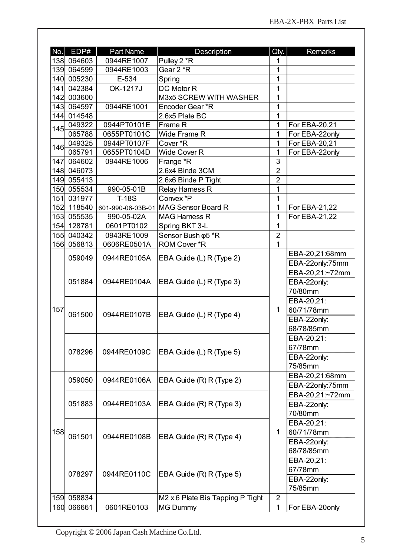| 138 064603<br>0944RE1007<br>Pulley 2 *R<br>1<br>Gear 2 *R<br>1<br>139 064599<br>0944RE1003<br>1<br>140 005230<br>E-534<br>Spring<br>141 042384<br>OK-1217J<br><b>DC Motor R</b><br>1<br>1<br>M3x5 SCREW WITH WASHER<br>142 003600<br>1<br>0944RE1001<br>143 064597<br>Encoder Gear *R<br>144 014548<br>2.6x5 Plate BC<br>1<br>$\mathbf 1$<br>0944PT0101E<br>049322<br>Frame R<br>For EBA-20,21<br>145<br>1<br>For EBA-22only<br>065788<br>0655PT0101C<br>Wide Frame R<br>1<br>For EBA-20,21<br>049325<br>0944PT0107F<br>Cover *R<br>146<br>1<br>065791<br>Wide Cover R<br>For EBA-22only<br>0655PT0104D<br>3<br>147 064602<br>0944RE1006<br>Frange *R<br>$\overline{2}$<br>148 046073<br>2.6x4 Binde 3CM<br>$\overline{2}$<br>149 055413<br>2.6x6 Binde P Tight<br>1<br>Relay Harness R<br>150 055534<br>990-05-01B<br>Convex *P<br>151 031977<br><b>T-18S</b><br>1<br>MAG Sensor Board R<br>1<br>152 118540<br>For EBA-21,22<br>601-990-06-03B-01<br>1<br>153 055535<br>For EBA-21,22<br>990-05-02A<br><b>MAG Harness R</b><br>1<br>154 128781<br>Spring BKT 3-L<br>0601PT0102<br>Sensor Bush $\phi$ 5 *R<br>$\overline{2}$<br>155 040342<br>0943RE1009<br>ROM Cover *R<br>$\mathbf{1}$<br>156 056813<br>0606RE0501A<br>EBA-20,21:68mm<br>0944RE0105A<br>059049<br>EBA Guide (L) R (Type 2)<br>EBA-22only:75mm<br>EBA-20,21:~72mm<br>051884<br>0944RE0104A<br>EBA Guide (L) R (Type 3)<br>EBA-22only:<br>70/80mm<br>EBA-20,21:<br>157<br>1<br>60/71/78mm<br>061500<br>0944RE0107B<br>EBA Guide (L) R (Type 4)<br>EBA-22only:<br>68/78/85mm<br>EBA-20,21:<br>67/78mm<br>0944RE0109C<br>078296<br>EBA Guide (L) R (Type 5)<br>EBA-22only:<br>75/85mm<br>EBA-20,21:68mm<br>059050<br>0944RE0106A<br>EBA Guide (R) R (Type 2)<br>EBA-22only:75mm<br>EBA-20,21:~72mm<br>051883<br>0944RE0103A<br>EBA Guide (R) R (Type 3)<br>EBA-22only:<br>70/80mm<br>EBA-20,21:<br>158<br>1<br>60/71/78mm<br>061501<br>EBA Guide (R) R (Type 4)<br>0944RE0108B<br>EBA-22only:<br>68/78/85mm<br>EBA-20,21:<br>67/78mm<br>078297<br>0944RE0110C<br>EBA Guide (R) R (Type 5)<br>EBA-22only:<br>75/85mm<br>159 058834<br>$\overline{2}$<br>M2 x 6 Plate Bis Tapping P Tight<br>160 066661<br>0601RE0103<br><b>MG Dummy</b><br>$\mathbf{1}$<br>For EBA-20only | No. | EDP# | Part Name | Description | Qty. | Remarks |
|----------------------------------------------------------------------------------------------------------------------------------------------------------------------------------------------------------------------------------------------------------------------------------------------------------------------------------------------------------------------------------------------------------------------------------------------------------------------------------------------------------------------------------------------------------------------------------------------------------------------------------------------------------------------------------------------------------------------------------------------------------------------------------------------------------------------------------------------------------------------------------------------------------------------------------------------------------------------------------------------------------------------------------------------------------------------------------------------------------------------------------------------------------------------------------------------------------------------------------------------------------------------------------------------------------------------------------------------------------------------------------------------------------------------------------------------------------------------------------------------------------------------------------------------------------------------------------------------------------------------------------------------------------------------------------------------------------------------------------------------------------------------------------------------------------------------------------------------------------------------------------------------------------------------------------------------------------------------------------------------------------------------------------------------------------------------------------------------------------------------------------------------------------------------------------------------------------------------------------------|-----|------|-----------|-------------|------|---------|
|                                                                                                                                                                                                                                                                                                                                                                                                                                                                                                                                                                                                                                                                                                                                                                                                                                                                                                                                                                                                                                                                                                                                                                                                                                                                                                                                                                                                                                                                                                                                                                                                                                                                                                                                                                                                                                                                                                                                                                                                                                                                                                                                                                                                                                        |     |      |           |             |      |         |
|                                                                                                                                                                                                                                                                                                                                                                                                                                                                                                                                                                                                                                                                                                                                                                                                                                                                                                                                                                                                                                                                                                                                                                                                                                                                                                                                                                                                                                                                                                                                                                                                                                                                                                                                                                                                                                                                                                                                                                                                                                                                                                                                                                                                                                        |     |      |           |             |      |         |
|                                                                                                                                                                                                                                                                                                                                                                                                                                                                                                                                                                                                                                                                                                                                                                                                                                                                                                                                                                                                                                                                                                                                                                                                                                                                                                                                                                                                                                                                                                                                                                                                                                                                                                                                                                                                                                                                                                                                                                                                                                                                                                                                                                                                                                        |     |      |           |             |      |         |
|                                                                                                                                                                                                                                                                                                                                                                                                                                                                                                                                                                                                                                                                                                                                                                                                                                                                                                                                                                                                                                                                                                                                                                                                                                                                                                                                                                                                                                                                                                                                                                                                                                                                                                                                                                                                                                                                                                                                                                                                                                                                                                                                                                                                                                        |     |      |           |             |      |         |
|                                                                                                                                                                                                                                                                                                                                                                                                                                                                                                                                                                                                                                                                                                                                                                                                                                                                                                                                                                                                                                                                                                                                                                                                                                                                                                                                                                                                                                                                                                                                                                                                                                                                                                                                                                                                                                                                                                                                                                                                                                                                                                                                                                                                                                        |     |      |           |             |      |         |
|                                                                                                                                                                                                                                                                                                                                                                                                                                                                                                                                                                                                                                                                                                                                                                                                                                                                                                                                                                                                                                                                                                                                                                                                                                                                                                                                                                                                                                                                                                                                                                                                                                                                                                                                                                                                                                                                                                                                                                                                                                                                                                                                                                                                                                        |     |      |           |             |      |         |
|                                                                                                                                                                                                                                                                                                                                                                                                                                                                                                                                                                                                                                                                                                                                                                                                                                                                                                                                                                                                                                                                                                                                                                                                                                                                                                                                                                                                                                                                                                                                                                                                                                                                                                                                                                                                                                                                                                                                                                                                                                                                                                                                                                                                                                        |     |      |           |             |      |         |
|                                                                                                                                                                                                                                                                                                                                                                                                                                                                                                                                                                                                                                                                                                                                                                                                                                                                                                                                                                                                                                                                                                                                                                                                                                                                                                                                                                                                                                                                                                                                                                                                                                                                                                                                                                                                                                                                                                                                                                                                                                                                                                                                                                                                                                        |     |      |           |             |      |         |
|                                                                                                                                                                                                                                                                                                                                                                                                                                                                                                                                                                                                                                                                                                                                                                                                                                                                                                                                                                                                                                                                                                                                                                                                                                                                                                                                                                                                                                                                                                                                                                                                                                                                                                                                                                                                                                                                                                                                                                                                                                                                                                                                                                                                                                        |     |      |           |             |      |         |
|                                                                                                                                                                                                                                                                                                                                                                                                                                                                                                                                                                                                                                                                                                                                                                                                                                                                                                                                                                                                                                                                                                                                                                                                                                                                                                                                                                                                                                                                                                                                                                                                                                                                                                                                                                                                                                                                                                                                                                                                                                                                                                                                                                                                                                        |     |      |           |             |      |         |
|                                                                                                                                                                                                                                                                                                                                                                                                                                                                                                                                                                                                                                                                                                                                                                                                                                                                                                                                                                                                                                                                                                                                                                                                                                                                                                                                                                                                                                                                                                                                                                                                                                                                                                                                                                                                                                                                                                                                                                                                                                                                                                                                                                                                                                        |     |      |           |             |      |         |
|                                                                                                                                                                                                                                                                                                                                                                                                                                                                                                                                                                                                                                                                                                                                                                                                                                                                                                                                                                                                                                                                                                                                                                                                                                                                                                                                                                                                                                                                                                                                                                                                                                                                                                                                                                                                                                                                                                                                                                                                                                                                                                                                                                                                                                        |     |      |           |             |      |         |
|                                                                                                                                                                                                                                                                                                                                                                                                                                                                                                                                                                                                                                                                                                                                                                                                                                                                                                                                                                                                                                                                                                                                                                                                                                                                                                                                                                                                                                                                                                                                                                                                                                                                                                                                                                                                                                                                                                                                                                                                                                                                                                                                                                                                                                        |     |      |           |             |      |         |
|                                                                                                                                                                                                                                                                                                                                                                                                                                                                                                                                                                                                                                                                                                                                                                                                                                                                                                                                                                                                                                                                                                                                                                                                                                                                                                                                                                                                                                                                                                                                                                                                                                                                                                                                                                                                                                                                                                                                                                                                                                                                                                                                                                                                                                        |     |      |           |             |      |         |
|                                                                                                                                                                                                                                                                                                                                                                                                                                                                                                                                                                                                                                                                                                                                                                                                                                                                                                                                                                                                                                                                                                                                                                                                                                                                                                                                                                                                                                                                                                                                                                                                                                                                                                                                                                                                                                                                                                                                                                                                                                                                                                                                                                                                                                        |     |      |           |             |      |         |
|                                                                                                                                                                                                                                                                                                                                                                                                                                                                                                                                                                                                                                                                                                                                                                                                                                                                                                                                                                                                                                                                                                                                                                                                                                                                                                                                                                                                                                                                                                                                                                                                                                                                                                                                                                                                                                                                                                                                                                                                                                                                                                                                                                                                                                        |     |      |           |             |      |         |
|                                                                                                                                                                                                                                                                                                                                                                                                                                                                                                                                                                                                                                                                                                                                                                                                                                                                                                                                                                                                                                                                                                                                                                                                                                                                                                                                                                                                                                                                                                                                                                                                                                                                                                                                                                                                                                                                                                                                                                                                                                                                                                                                                                                                                                        |     |      |           |             |      |         |
|                                                                                                                                                                                                                                                                                                                                                                                                                                                                                                                                                                                                                                                                                                                                                                                                                                                                                                                                                                                                                                                                                                                                                                                                                                                                                                                                                                                                                                                                                                                                                                                                                                                                                                                                                                                                                                                                                                                                                                                                                                                                                                                                                                                                                                        |     |      |           |             |      |         |
|                                                                                                                                                                                                                                                                                                                                                                                                                                                                                                                                                                                                                                                                                                                                                                                                                                                                                                                                                                                                                                                                                                                                                                                                                                                                                                                                                                                                                                                                                                                                                                                                                                                                                                                                                                                                                                                                                                                                                                                                                                                                                                                                                                                                                                        |     |      |           |             |      |         |
|                                                                                                                                                                                                                                                                                                                                                                                                                                                                                                                                                                                                                                                                                                                                                                                                                                                                                                                                                                                                                                                                                                                                                                                                                                                                                                                                                                                                                                                                                                                                                                                                                                                                                                                                                                                                                                                                                                                                                                                                                                                                                                                                                                                                                                        |     |      |           |             |      |         |
|                                                                                                                                                                                                                                                                                                                                                                                                                                                                                                                                                                                                                                                                                                                                                                                                                                                                                                                                                                                                                                                                                                                                                                                                                                                                                                                                                                                                                                                                                                                                                                                                                                                                                                                                                                                                                                                                                                                                                                                                                                                                                                                                                                                                                                        |     |      |           |             |      |         |
|                                                                                                                                                                                                                                                                                                                                                                                                                                                                                                                                                                                                                                                                                                                                                                                                                                                                                                                                                                                                                                                                                                                                                                                                                                                                                                                                                                                                                                                                                                                                                                                                                                                                                                                                                                                                                                                                                                                                                                                                                                                                                                                                                                                                                                        |     |      |           |             |      |         |
|                                                                                                                                                                                                                                                                                                                                                                                                                                                                                                                                                                                                                                                                                                                                                                                                                                                                                                                                                                                                                                                                                                                                                                                                                                                                                                                                                                                                                                                                                                                                                                                                                                                                                                                                                                                                                                                                                                                                                                                                                                                                                                                                                                                                                                        |     |      |           |             |      |         |
|                                                                                                                                                                                                                                                                                                                                                                                                                                                                                                                                                                                                                                                                                                                                                                                                                                                                                                                                                                                                                                                                                                                                                                                                                                                                                                                                                                                                                                                                                                                                                                                                                                                                                                                                                                                                                                                                                                                                                                                                                                                                                                                                                                                                                                        |     |      |           |             |      |         |
|                                                                                                                                                                                                                                                                                                                                                                                                                                                                                                                                                                                                                                                                                                                                                                                                                                                                                                                                                                                                                                                                                                                                                                                                                                                                                                                                                                                                                                                                                                                                                                                                                                                                                                                                                                                                                                                                                                                                                                                                                                                                                                                                                                                                                                        |     |      |           |             |      |         |
|                                                                                                                                                                                                                                                                                                                                                                                                                                                                                                                                                                                                                                                                                                                                                                                                                                                                                                                                                                                                                                                                                                                                                                                                                                                                                                                                                                                                                                                                                                                                                                                                                                                                                                                                                                                                                                                                                                                                                                                                                                                                                                                                                                                                                                        |     |      |           |             |      |         |
|                                                                                                                                                                                                                                                                                                                                                                                                                                                                                                                                                                                                                                                                                                                                                                                                                                                                                                                                                                                                                                                                                                                                                                                                                                                                                                                                                                                                                                                                                                                                                                                                                                                                                                                                                                                                                                                                                                                                                                                                                                                                                                                                                                                                                                        |     |      |           |             |      |         |
|                                                                                                                                                                                                                                                                                                                                                                                                                                                                                                                                                                                                                                                                                                                                                                                                                                                                                                                                                                                                                                                                                                                                                                                                                                                                                                                                                                                                                                                                                                                                                                                                                                                                                                                                                                                                                                                                                                                                                                                                                                                                                                                                                                                                                                        |     |      |           |             |      |         |
|                                                                                                                                                                                                                                                                                                                                                                                                                                                                                                                                                                                                                                                                                                                                                                                                                                                                                                                                                                                                                                                                                                                                                                                                                                                                                                                                                                                                                                                                                                                                                                                                                                                                                                                                                                                                                                                                                                                                                                                                                                                                                                                                                                                                                                        |     |      |           |             |      |         |
|                                                                                                                                                                                                                                                                                                                                                                                                                                                                                                                                                                                                                                                                                                                                                                                                                                                                                                                                                                                                                                                                                                                                                                                                                                                                                                                                                                                                                                                                                                                                                                                                                                                                                                                                                                                                                                                                                                                                                                                                                                                                                                                                                                                                                                        |     |      |           |             |      |         |
|                                                                                                                                                                                                                                                                                                                                                                                                                                                                                                                                                                                                                                                                                                                                                                                                                                                                                                                                                                                                                                                                                                                                                                                                                                                                                                                                                                                                                                                                                                                                                                                                                                                                                                                                                                                                                                                                                                                                                                                                                                                                                                                                                                                                                                        |     |      |           |             |      |         |
|                                                                                                                                                                                                                                                                                                                                                                                                                                                                                                                                                                                                                                                                                                                                                                                                                                                                                                                                                                                                                                                                                                                                                                                                                                                                                                                                                                                                                                                                                                                                                                                                                                                                                                                                                                                                                                                                                                                                                                                                                                                                                                                                                                                                                                        |     |      |           |             |      |         |
|                                                                                                                                                                                                                                                                                                                                                                                                                                                                                                                                                                                                                                                                                                                                                                                                                                                                                                                                                                                                                                                                                                                                                                                                                                                                                                                                                                                                                                                                                                                                                                                                                                                                                                                                                                                                                                                                                                                                                                                                                                                                                                                                                                                                                                        |     |      |           |             |      |         |
|                                                                                                                                                                                                                                                                                                                                                                                                                                                                                                                                                                                                                                                                                                                                                                                                                                                                                                                                                                                                                                                                                                                                                                                                                                                                                                                                                                                                                                                                                                                                                                                                                                                                                                                                                                                                                                                                                                                                                                                                                                                                                                                                                                                                                                        |     |      |           |             |      |         |
|                                                                                                                                                                                                                                                                                                                                                                                                                                                                                                                                                                                                                                                                                                                                                                                                                                                                                                                                                                                                                                                                                                                                                                                                                                                                                                                                                                                                                                                                                                                                                                                                                                                                                                                                                                                                                                                                                                                                                                                                                                                                                                                                                                                                                                        |     |      |           |             |      |         |
|                                                                                                                                                                                                                                                                                                                                                                                                                                                                                                                                                                                                                                                                                                                                                                                                                                                                                                                                                                                                                                                                                                                                                                                                                                                                                                                                                                                                                                                                                                                                                                                                                                                                                                                                                                                                                                                                                                                                                                                                                                                                                                                                                                                                                                        |     |      |           |             |      |         |
|                                                                                                                                                                                                                                                                                                                                                                                                                                                                                                                                                                                                                                                                                                                                                                                                                                                                                                                                                                                                                                                                                                                                                                                                                                                                                                                                                                                                                                                                                                                                                                                                                                                                                                                                                                                                                                                                                                                                                                                                                                                                                                                                                                                                                                        |     |      |           |             |      |         |
|                                                                                                                                                                                                                                                                                                                                                                                                                                                                                                                                                                                                                                                                                                                                                                                                                                                                                                                                                                                                                                                                                                                                                                                                                                                                                                                                                                                                                                                                                                                                                                                                                                                                                                                                                                                                                                                                                                                                                                                                                                                                                                                                                                                                                                        |     |      |           |             |      |         |
|                                                                                                                                                                                                                                                                                                                                                                                                                                                                                                                                                                                                                                                                                                                                                                                                                                                                                                                                                                                                                                                                                                                                                                                                                                                                                                                                                                                                                                                                                                                                                                                                                                                                                                                                                                                                                                                                                                                                                                                                                                                                                                                                                                                                                                        |     |      |           |             |      |         |
|                                                                                                                                                                                                                                                                                                                                                                                                                                                                                                                                                                                                                                                                                                                                                                                                                                                                                                                                                                                                                                                                                                                                                                                                                                                                                                                                                                                                                                                                                                                                                                                                                                                                                                                                                                                                                                                                                                                                                                                                                                                                                                                                                                                                                                        |     |      |           |             |      |         |
|                                                                                                                                                                                                                                                                                                                                                                                                                                                                                                                                                                                                                                                                                                                                                                                                                                                                                                                                                                                                                                                                                                                                                                                                                                                                                                                                                                                                                                                                                                                                                                                                                                                                                                                                                                                                                                                                                                                                                                                                                                                                                                                                                                                                                                        |     |      |           |             |      |         |
|                                                                                                                                                                                                                                                                                                                                                                                                                                                                                                                                                                                                                                                                                                                                                                                                                                                                                                                                                                                                                                                                                                                                                                                                                                                                                                                                                                                                                                                                                                                                                                                                                                                                                                                                                                                                                                                                                                                                                                                                                                                                                                                                                                                                                                        |     |      |           |             |      |         |
|                                                                                                                                                                                                                                                                                                                                                                                                                                                                                                                                                                                                                                                                                                                                                                                                                                                                                                                                                                                                                                                                                                                                                                                                                                                                                                                                                                                                                                                                                                                                                                                                                                                                                                                                                                                                                                                                                                                                                                                                                                                                                                                                                                                                                                        |     |      |           |             |      |         |
|                                                                                                                                                                                                                                                                                                                                                                                                                                                                                                                                                                                                                                                                                                                                                                                                                                                                                                                                                                                                                                                                                                                                                                                                                                                                                                                                                                                                                                                                                                                                                                                                                                                                                                                                                                                                                                                                                                                                                                                                                                                                                                                                                                                                                                        |     |      |           |             |      |         |
|                                                                                                                                                                                                                                                                                                                                                                                                                                                                                                                                                                                                                                                                                                                                                                                                                                                                                                                                                                                                                                                                                                                                                                                                                                                                                                                                                                                                                                                                                                                                                                                                                                                                                                                                                                                                                                                                                                                                                                                                                                                                                                                                                                                                                                        |     |      |           |             |      |         |
|                                                                                                                                                                                                                                                                                                                                                                                                                                                                                                                                                                                                                                                                                                                                                                                                                                                                                                                                                                                                                                                                                                                                                                                                                                                                                                                                                                                                                                                                                                                                                                                                                                                                                                                                                                                                                                                                                                                                                                                                                                                                                                                                                                                                                                        |     |      |           |             |      |         |
|                                                                                                                                                                                                                                                                                                                                                                                                                                                                                                                                                                                                                                                                                                                                                                                                                                                                                                                                                                                                                                                                                                                                                                                                                                                                                                                                                                                                                                                                                                                                                                                                                                                                                                                                                                                                                                                                                                                                                                                                                                                                                                                                                                                                                                        |     |      |           |             |      |         |
|                                                                                                                                                                                                                                                                                                                                                                                                                                                                                                                                                                                                                                                                                                                                                                                                                                                                                                                                                                                                                                                                                                                                                                                                                                                                                                                                                                                                                                                                                                                                                                                                                                                                                                                                                                                                                                                                                                                                                                                                                                                                                                                                                                                                                                        |     |      |           |             |      |         |
|                                                                                                                                                                                                                                                                                                                                                                                                                                                                                                                                                                                                                                                                                                                                                                                                                                                                                                                                                                                                                                                                                                                                                                                                                                                                                                                                                                                                                                                                                                                                                                                                                                                                                                                                                                                                                                                                                                                                                                                                                                                                                                                                                                                                                                        |     |      |           |             |      |         |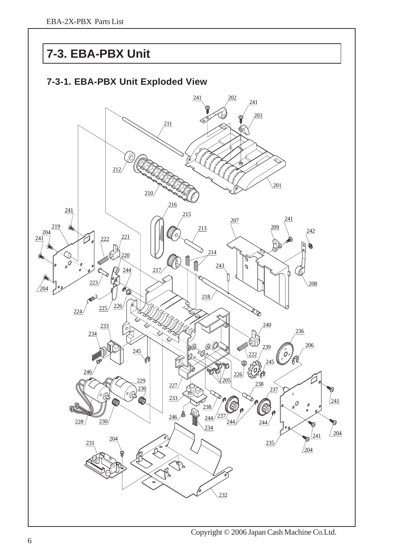# **7-3. EBA-PBX Unit**



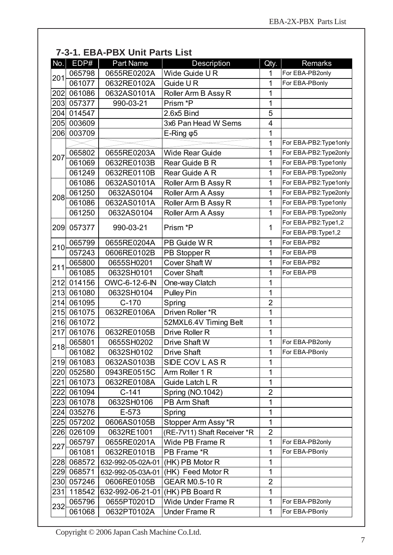| EDP#<br><b>Part Name</b><br>No.<br><b>Description</b><br><b>Remarks</b><br>Qty.<br>065798<br>0655RE0202A<br>Wide Guide UR<br>For EBA-PB2only<br>1<br>201<br>061077<br>0632RE0102A<br>Guide UR<br>1<br>For EBA-PBonly<br>202<br>1<br>061086<br>0632AS0101A<br>Roller Arm B Assy R<br>057377<br>990-03-21<br>Prism *P<br>203<br>1<br>5<br>014547<br>204<br>2.6x5 Bind<br>003609<br>205<br>3x6 Pan Head W Sems<br>4<br>1<br>003709<br>206<br>$E$ -Ring $\varphi$ 5<br>$\mathbf 1$<br>For EBA-PB2: Type1only<br>1<br>065802<br>For EBA-PB2: Type2only<br>0655RE0203A<br><b>Wide Rear Guide</b><br>207<br>061069<br>1<br>For EBA-PB: Type1only<br>0632RE0103B<br>Rear Guide B R<br>For EBA-PB: Type2only<br>061249<br>0632RE0110B<br>1<br>Rear Guide A R<br>1<br>For EBA-PB2: Type1only<br>061086<br>0632AS0101A<br>Roller Arm B Assy R<br>For EBA-PB2: Type2only<br>061250<br>0632AS0104<br>Roller Arm A Assy<br>1<br>208<br>Roller Arm B Assy R<br>061086<br>1<br>For EBA-PB: Type1only<br>0632AS0101A<br>061250<br>Roller Arm A Assy<br>1<br>For EBA-PB: Type2only<br>0632AS0104<br>For EBA-PB2: Type1,2<br>Prism *P<br>1<br>209<br>057377<br>990-03-21<br>For EBA-PB: Type1,2<br>1<br>For EBA-PB2<br>065799<br>0655RE0204A<br>PB Guide W R<br>210<br>057243<br>0606RE0102B<br>For EBA-PB<br>PB Stopper R<br>1<br>0655SH0201<br>Cover Shaft W<br>1<br>For EBA-PB2<br>065800<br>211<br>061085<br>0632SH0101<br><b>Cover Shaft</b><br>1<br>For EBA-PB<br>212<br>014156<br>1<br>OWC-6-12-6-IN<br>One-way Clatch<br>213<br>061080<br><b>Pulley Pin</b><br>1<br>0632SH0104<br>$\overline{2}$<br>$C-170$<br>214<br>061095<br>Spring<br>Driven Roller *R<br>061075<br>1<br>215<br>0632RE0106A<br>1<br>061072<br>216<br>52MXL6.4V Timing Belt<br>217<br>061076<br>0632RE0105B<br>Drive Roller R<br>1<br>1<br>For EBA-PB2only<br>065801<br>0655SH0202<br>Drive Shaft W<br>218<br>For EBA-PBonly<br>061082<br>0632SH0102<br>Drive Shaft<br>1<br>1<br>SIDE COV LAS R<br>219<br>061083<br>0632AS0103B<br>052580<br>0943RE0515C<br>Arm Roller 1 R<br>$\mathbf 1$<br>220<br>1<br>221<br>061073<br>0632RE0108A<br>Guide Latch L R<br>$C-141$<br>Spring (NO.1042)<br>061094<br>$\overline{2}$<br>222<br>061078<br>0632SH0106<br>PB Arm Shaft<br>1<br>223<br>$\mathbf{1}$<br>035276<br>E-573<br>224<br>Spring<br>Stopper Arm Assy *R<br>1<br>225<br>057202<br>0606AS0105B<br>$\overline{2}$<br>026109<br>0632RE1001<br>(RE-7V11) Shaft Receiver *R<br>226<br>Wide PB Frame R<br>$\mathbf 1$<br>065797<br>0655RE0201A<br>For EBA-PB2only<br>227<br>PB Frame *R<br>$\mathbf 1$<br>For EBA-PBonly<br>061081<br>0632RE0101B<br>228<br>068572<br>(HK) PB Motor R<br>1<br>632-992-05-02A-01<br>$\mathbf{1}$<br>(HK) Feed Motor R<br>068571<br>229<br>632-992-05-03A-01<br>$\overline{2}$<br><b>GEAR M0.5-10 R</b><br>230<br>057246<br>0606RE0105B<br>1<br>231<br>118542<br>632-992-06-21-01<br>(HK) PB Board R<br>Wide Under Frame R<br>$\mathbf 1$<br>065796<br>0655PT0201D<br>For EBA-PB2only<br>232<br>$\mathbf 1$<br>061068<br>0632PT0102A<br><b>Under Frame R</b><br>For EBA-PBonly |  | 7-3-1. EBA-PBX Unit Parts List |  |  |
|-----------------------------------------------------------------------------------------------------------------------------------------------------------------------------------------------------------------------------------------------------------------------------------------------------------------------------------------------------------------------------------------------------------------------------------------------------------------------------------------------------------------------------------------------------------------------------------------------------------------------------------------------------------------------------------------------------------------------------------------------------------------------------------------------------------------------------------------------------------------------------------------------------------------------------------------------------------------------------------------------------------------------------------------------------------------------------------------------------------------------------------------------------------------------------------------------------------------------------------------------------------------------------------------------------------------------------------------------------------------------------------------------------------------------------------------------------------------------------------------------------------------------------------------------------------------------------------------------------------------------------------------------------------------------------------------------------------------------------------------------------------------------------------------------------------------------------------------------------------------------------------------------------------------------------------------------------------------------------------------------------------------------------------------------------------------------------------------------------------------------------------------------------------------------------------------------------------------------------------------------------------------------------------------------------------------------------------------------------------------------------------------------------------------------------------------------------------------------------------------------------------------------------------------------------------------------------------------------------------------------------------------------------------------------------------------------------------------------------------------------------------------------------------------------------------------------------------------------------------------------------------------------------------------------------------------------------------------------------------------------------------------------------------------------------------------|--|--------------------------------|--|--|
|                                                                                                                                                                                                                                                                                                                                                                                                                                                                                                                                                                                                                                                                                                                                                                                                                                                                                                                                                                                                                                                                                                                                                                                                                                                                                                                                                                                                                                                                                                                                                                                                                                                                                                                                                                                                                                                                                                                                                                                                                                                                                                                                                                                                                                                                                                                                                                                                                                                                                                                                                                                                                                                                                                                                                                                                                                                                                                                                                                                                                                                                 |  |                                |  |  |
|                                                                                                                                                                                                                                                                                                                                                                                                                                                                                                                                                                                                                                                                                                                                                                                                                                                                                                                                                                                                                                                                                                                                                                                                                                                                                                                                                                                                                                                                                                                                                                                                                                                                                                                                                                                                                                                                                                                                                                                                                                                                                                                                                                                                                                                                                                                                                                                                                                                                                                                                                                                                                                                                                                                                                                                                                                                                                                                                                                                                                                                                 |  |                                |  |  |
|                                                                                                                                                                                                                                                                                                                                                                                                                                                                                                                                                                                                                                                                                                                                                                                                                                                                                                                                                                                                                                                                                                                                                                                                                                                                                                                                                                                                                                                                                                                                                                                                                                                                                                                                                                                                                                                                                                                                                                                                                                                                                                                                                                                                                                                                                                                                                                                                                                                                                                                                                                                                                                                                                                                                                                                                                                                                                                                                                                                                                                                                 |  |                                |  |  |
|                                                                                                                                                                                                                                                                                                                                                                                                                                                                                                                                                                                                                                                                                                                                                                                                                                                                                                                                                                                                                                                                                                                                                                                                                                                                                                                                                                                                                                                                                                                                                                                                                                                                                                                                                                                                                                                                                                                                                                                                                                                                                                                                                                                                                                                                                                                                                                                                                                                                                                                                                                                                                                                                                                                                                                                                                                                                                                                                                                                                                                                                 |  |                                |  |  |
|                                                                                                                                                                                                                                                                                                                                                                                                                                                                                                                                                                                                                                                                                                                                                                                                                                                                                                                                                                                                                                                                                                                                                                                                                                                                                                                                                                                                                                                                                                                                                                                                                                                                                                                                                                                                                                                                                                                                                                                                                                                                                                                                                                                                                                                                                                                                                                                                                                                                                                                                                                                                                                                                                                                                                                                                                                                                                                                                                                                                                                                                 |  |                                |  |  |
|                                                                                                                                                                                                                                                                                                                                                                                                                                                                                                                                                                                                                                                                                                                                                                                                                                                                                                                                                                                                                                                                                                                                                                                                                                                                                                                                                                                                                                                                                                                                                                                                                                                                                                                                                                                                                                                                                                                                                                                                                                                                                                                                                                                                                                                                                                                                                                                                                                                                                                                                                                                                                                                                                                                                                                                                                                                                                                                                                                                                                                                                 |  |                                |  |  |
|                                                                                                                                                                                                                                                                                                                                                                                                                                                                                                                                                                                                                                                                                                                                                                                                                                                                                                                                                                                                                                                                                                                                                                                                                                                                                                                                                                                                                                                                                                                                                                                                                                                                                                                                                                                                                                                                                                                                                                                                                                                                                                                                                                                                                                                                                                                                                                                                                                                                                                                                                                                                                                                                                                                                                                                                                                                                                                                                                                                                                                                                 |  |                                |  |  |
|                                                                                                                                                                                                                                                                                                                                                                                                                                                                                                                                                                                                                                                                                                                                                                                                                                                                                                                                                                                                                                                                                                                                                                                                                                                                                                                                                                                                                                                                                                                                                                                                                                                                                                                                                                                                                                                                                                                                                                                                                                                                                                                                                                                                                                                                                                                                                                                                                                                                                                                                                                                                                                                                                                                                                                                                                                                                                                                                                                                                                                                                 |  |                                |  |  |
|                                                                                                                                                                                                                                                                                                                                                                                                                                                                                                                                                                                                                                                                                                                                                                                                                                                                                                                                                                                                                                                                                                                                                                                                                                                                                                                                                                                                                                                                                                                                                                                                                                                                                                                                                                                                                                                                                                                                                                                                                                                                                                                                                                                                                                                                                                                                                                                                                                                                                                                                                                                                                                                                                                                                                                                                                                                                                                                                                                                                                                                                 |  |                                |  |  |
|                                                                                                                                                                                                                                                                                                                                                                                                                                                                                                                                                                                                                                                                                                                                                                                                                                                                                                                                                                                                                                                                                                                                                                                                                                                                                                                                                                                                                                                                                                                                                                                                                                                                                                                                                                                                                                                                                                                                                                                                                                                                                                                                                                                                                                                                                                                                                                                                                                                                                                                                                                                                                                                                                                                                                                                                                                                                                                                                                                                                                                                                 |  |                                |  |  |
|                                                                                                                                                                                                                                                                                                                                                                                                                                                                                                                                                                                                                                                                                                                                                                                                                                                                                                                                                                                                                                                                                                                                                                                                                                                                                                                                                                                                                                                                                                                                                                                                                                                                                                                                                                                                                                                                                                                                                                                                                                                                                                                                                                                                                                                                                                                                                                                                                                                                                                                                                                                                                                                                                                                                                                                                                                                                                                                                                                                                                                                                 |  |                                |  |  |
|                                                                                                                                                                                                                                                                                                                                                                                                                                                                                                                                                                                                                                                                                                                                                                                                                                                                                                                                                                                                                                                                                                                                                                                                                                                                                                                                                                                                                                                                                                                                                                                                                                                                                                                                                                                                                                                                                                                                                                                                                                                                                                                                                                                                                                                                                                                                                                                                                                                                                                                                                                                                                                                                                                                                                                                                                                                                                                                                                                                                                                                                 |  |                                |  |  |
|                                                                                                                                                                                                                                                                                                                                                                                                                                                                                                                                                                                                                                                                                                                                                                                                                                                                                                                                                                                                                                                                                                                                                                                                                                                                                                                                                                                                                                                                                                                                                                                                                                                                                                                                                                                                                                                                                                                                                                                                                                                                                                                                                                                                                                                                                                                                                                                                                                                                                                                                                                                                                                                                                                                                                                                                                                                                                                                                                                                                                                                                 |  |                                |  |  |
|                                                                                                                                                                                                                                                                                                                                                                                                                                                                                                                                                                                                                                                                                                                                                                                                                                                                                                                                                                                                                                                                                                                                                                                                                                                                                                                                                                                                                                                                                                                                                                                                                                                                                                                                                                                                                                                                                                                                                                                                                                                                                                                                                                                                                                                                                                                                                                                                                                                                                                                                                                                                                                                                                                                                                                                                                                                                                                                                                                                                                                                                 |  |                                |  |  |
|                                                                                                                                                                                                                                                                                                                                                                                                                                                                                                                                                                                                                                                                                                                                                                                                                                                                                                                                                                                                                                                                                                                                                                                                                                                                                                                                                                                                                                                                                                                                                                                                                                                                                                                                                                                                                                                                                                                                                                                                                                                                                                                                                                                                                                                                                                                                                                                                                                                                                                                                                                                                                                                                                                                                                                                                                                                                                                                                                                                                                                                                 |  |                                |  |  |
|                                                                                                                                                                                                                                                                                                                                                                                                                                                                                                                                                                                                                                                                                                                                                                                                                                                                                                                                                                                                                                                                                                                                                                                                                                                                                                                                                                                                                                                                                                                                                                                                                                                                                                                                                                                                                                                                                                                                                                                                                                                                                                                                                                                                                                                                                                                                                                                                                                                                                                                                                                                                                                                                                                                                                                                                                                                                                                                                                                                                                                                                 |  |                                |  |  |
|                                                                                                                                                                                                                                                                                                                                                                                                                                                                                                                                                                                                                                                                                                                                                                                                                                                                                                                                                                                                                                                                                                                                                                                                                                                                                                                                                                                                                                                                                                                                                                                                                                                                                                                                                                                                                                                                                                                                                                                                                                                                                                                                                                                                                                                                                                                                                                                                                                                                                                                                                                                                                                                                                                                                                                                                                                                                                                                                                                                                                                                                 |  |                                |  |  |
|                                                                                                                                                                                                                                                                                                                                                                                                                                                                                                                                                                                                                                                                                                                                                                                                                                                                                                                                                                                                                                                                                                                                                                                                                                                                                                                                                                                                                                                                                                                                                                                                                                                                                                                                                                                                                                                                                                                                                                                                                                                                                                                                                                                                                                                                                                                                                                                                                                                                                                                                                                                                                                                                                                                                                                                                                                                                                                                                                                                                                                                                 |  |                                |  |  |
|                                                                                                                                                                                                                                                                                                                                                                                                                                                                                                                                                                                                                                                                                                                                                                                                                                                                                                                                                                                                                                                                                                                                                                                                                                                                                                                                                                                                                                                                                                                                                                                                                                                                                                                                                                                                                                                                                                                                                                                                                                                                                                                                                                                                                                                                                                                                                                                                                                                                                                                                                                                                                                                                                                                                                                                                                                                                                                                                                                                                                                                                 |  |                                |  |  |
|                                                                                                                                                                                                                                                                                                                                                                                                                                                                                                                                                                                                                                                                                                                                                                                                                                                                                                                                                                                                                                                                                                                                                                                                                                                                                                                                                                                                                                                                                                                                                                                                                                                                                                                                                                                                                                                                                                                                                                                                                                                                                                                                                                                                                                                                                                                                                                                                                                                                                                                                                                                                                                                                                                                                                                                                                                                                                                                                                                                                                                                                 |  |                                |  |  |
|                                                                                                                                                                                                                                                                                                                                                                                                                                                                                                                                                                                                                                                                                                                                                                                                                                                                                                                                                                                                                                                                                                                                                                                                                                                                                                                                                                                                                                                                                                                                                                                                                                                                                                                                                                                                                                                                                                                                                                                                                                                                                                                                                                                                                                                                                                                                                                                                                                                                                                                                                                                                                                                                                                                                                                                                                                                                                                                                                                                                                                                                 |  |                                |  |  |
|                                                                                                                                                                                                                                                                                                                                                                                                                                                                                                                                                                                                                                                                                                                                                                                                                                                                                                                                                                                                                                                                                                                                                                                                                                                                                                                                                                                                                                                                                                                                                                                                                                                                                                                                                                                                                                                                                                                                                                                                                                                                                                                                                                                                                                                                                                                                                                                                                                                                                                                                                                                                                                                                                                                                                                                                                                                                                                                                                                                                                                                                 |  |                                |  |  |
|                                                                                                                                                                                                                                                                                                                                                                                                                                                                                                                                                                                                                                                                                                                                                                                                                                                                                                                                                                                                                                                                                                                                                                                                                                                                                                                                                                                                                                                                                                                                                                                                                                                                                                                                                                                                                                                                                                                                                                                                                                                                                                                                                                                                                                                                                                                                                                                                                                                                                                                                                                                                                                                                                                                                                                                                                                                                                                                                                                                                                                                                 |  |                                |  |  |
|                                                                                                                                                                                                                                                                                                                                                                                                                                                                                                                                                                                                                                                                                                                                                                                                                                                                                                                                                                                                                                                                                                                                                                                                                                                                                                                                                                                                                                                                                                                                                                                                                                                                                                                                                                                                                                                                                                                                                                                                                                                                                                                                                                                                                                                                                                                                                                                                                                                                                                                                                                                                                                                                                                                                                                                                                                                                                                                                                                                                                                                                 |  |                                |  |  |
|                                                                                                                                                                                                                                                                                                                                                                                                                                                                                                                                                                                                                                                                                                                                                                                                                                                                                                                                                                                                                                                                                                                                                                                                                                                                                                                                                                                                                                                                                                                                                                                                                                                                                                                                                                                                                                                                                                                                                                                                                                                                                                                                                                                                                                                                                                                                                                                                                                                                                                                                                                                                                                                                                                                                                                                                                                                                                                                                                                                                                                                                 |  |                                |  |  |
|                                                                                                                                                                                                                                                                                                                                                                                                                                                                                                                                                                                                                                                                                                                                                                                                                                                                                                                                                                                                                                                                                                                                                                                                                                                                                                                                                                                                                                                                                                                                                                                                                                                                                                                                                                                                                                                                                                                                                                                                                                                                                                                                                                                                                                                                                                                                                                                                                                                                                                                                                                                                                                                                                                                                                                                                                                                                                                                                                                                                                                                                 |  |                                |  |  |
|                                                                                                                                                                                                                                                                                                                                                                                                                                                                                                                                                                                                                                                                                                                                                                                                                                                                                                                                                                                                                                                                                                                                                                                                                                                                                                                                                                                                                                                                                                                                                                                                                                                                                                                                                                                                                                                                                                                                                                                                                                                                                                                                                                                                                                                                                                                                                                                                                                                                                                                                                                                                                                                                                                                                                                                                                                                                                                                                                                                                                                                                 |  |                                |  |  |
|                                                                                                                                                                                                                                                                                                                                                                                                                                                                                                                                                                                                                                                                                                                                                                                                                                                                                                                                                                                                                                                                                                                                                                                                                                                                                                                                                                                                                                                                                                                                                                                                                                                                                                                                                                                                                                                                                                                                                                                                                                                                                                                                                                                                                                                                                                                                                                                                                                                                                                                                                                                                                                                                                                                                                                                                                                                                                                                                                                                                                                                                 |  |                                |  |  |
|                                                                                                                                                                                                                                                                                                                                                                                                                                                                                                                                                                                                                                                                                                                                                                                                                                                                                                                                                                                                                                                                                                                                                                                                                                                                                                                                                                                                                                                                                                                                                                                                                                                                                                                                                                                                                                                                                                                                                                                                                                                                                                                                                                                                                                                                                                                                                                                                                                                                                                                                                                                                                                                                                                                                                                                                                                                                                                                                                                                                                                                                 |  |                                |  |  |
|                                                                                                                                                                                                                                                                                                                                                                                                                                                                                                                                                                                                                                                                                                                                                                                                                                                                                                                                                                                                                                                                                                                                                                                                                                                                                                                                                                                                                                                                                                                                                                                                                                                                                                                                                                                                                                                                                                                                                                                                                                                                                                                                                                                                                                                                                                                                                                                                                                                                                                                                                                                                                                                                                                                                                                                                                                                                                                                                                                                                                                                                 |  |                                |  |  |
|                                                                                                                                                                                                                                                                                                                                                                                                                                                                                                                                                                                                                                                                                                                                                                                                                                                                                                                                                                                                                                                                                                                                                                                                                                                                                                                                                                                                                                                                                                                                                                                                                                                                                                                                                                                                                                                                                                                                                                                                                                                                                                                                                                                                                                                                                                                                                                                                                                                                                                                                                                                                                                                                                                                                                                                                                                                                                                                                                                                                                                                                 |  |                                |  |  |
|                                                                                                                                                                                                                                                                                                                                                                                                                                                                                                                                                                                                                                                                                                                                                                                                                                                                                                                                                                                                                                                                                                                                                                                                                                                                                                                                                                                                                                                                                                                                                                                                                                                                                                                                                                                                                                                                                                                                                                                                                                                                                                                                                                                                                                                                                                                                                                                                                                                                                                                                                                                                                                                                                                                                                                                                                                                                                                                                                                                                                                                                 |  |                                |  |  |
|                                                                                                                                                                                                                                                                                                                                                                                                                                                                                                                                                                                                                                                                                                                                                                                                                                                                                                                                                                                                                                                                                                                                                                                                                                                                                                                                                                                                                                                                                                                                                                                                                                                                                                                                                                                                                                                                                                                                                                                                                                                                                                                                                                                                                                                                                                                                                                                                                                                                                                                                                                                                                                                                                                                                                                                                                                                                                                                                                                                                                                                                 |  |                                |  |  |
|                                                                                                                                                                                                                                                                                                                                                                                                                                                                                                                                                                                                                                                                                                                                                                                                                                                                                                                                                                                                                                                                                                                                                                                                                                                                                                                                                                                                                                                                                                                                                                                                                                                                                                                                                                                                                                                                                                                                                                                                                                                                                                                                                                                                                                                                                                                                                                                                                                                                                                                                                                                                                                                                                                                                                                                                                                                                                                                                                                                                                                                                 |  |                                |  |  |
|                                                                                                                                                                                                                                                                                                                                                                                                                                                                                                                                                                                                                                                                                                                                                                                                                                                                                                                                                                                                                                                                                                                                                                                                                                                                                                                                                                                                                                                                                                                                                                                                                                                                                                                                                                                                                                                                                                                                                                                                                                                                                                                                                                                                                                                                                                                                                                                                                                                                                                                                                                                                                                                                                                                                                                                                                                                                                                                                                                                                                                                                 |  |                                |  |  |
|                                                                                                                                                                                                                                                                                                                                                                                                                                                                                                                                                                                                                                                                                                                                                                                                                                                                                                                                                                                                                                                                                                                                                                                                                                                                                                                                                                                                                                                                                                                                                                                                                                                                                                                                                                                                                                                                                                                                                                                                                                                                                                                                                                                                                                                                                                                                                                                                                                                                                                                                                                                                                                                                                                                                                                                                                                                                                                                                                                                                                                                                 |  |                                |  |  |
|                                                                                                                                                                                                                                                                                                                                                                                                                                                                                                                                                                                                                                                                                                                                                                                                                                                                                                                                                                                                                                                                                                                                                                                                                                                                                                                                                                                                                                                                                                                                                                                                                                                                                                                                                                                                                                                                                                                                                                                                                                                                                                                                                                                                                                                                                                                                                                                                                                                                                                                                                                                                                                                                                                                                                                                                                                                                                                                                                                                                                                                                 |  |                                |  |  |
|                                                                                                                                                                                                                                                                                                                                                                                                                                                                                                                                                                                                                                                                                                                                                                                                                                                                                                                                                                                                                                                                                                                                                                                                                                                                                                                                                                                                                                                                                                                                                                                                                                                                                                                                                                                                                                                                                                                                                                                                                                                                                                                                                                                                                                                                                                                                                                                                                                                                                                                                                                                                                                                                                                                                                                                                                                                                                                                                                                                                                                                                 |  |                                |  |  |
|                                                                                                                                                                                                                                                                                                                                                                                                                                                                                                                                                                                                                                                                                                                                                                                                                                                                                                                                                                                                                                                                                                                                                                                                                                                                                                                                                                                                                                                                                                                                                                                                                                                                                                                                                                                                                                                                                                                                                                                                                                                                                                                                                                                                                                                                                                                                                                                                                                                                                                                                                                                                                                                                                                                                                                                                                                                                                                                                                                                                                                                                 |  |                                |  |  |
|                                                                                                                                                                                                                                                                                                                                                                                                                                                                                                                                                                                                                                                                                                                                                                                                                                                                                                                                                                                                                                                                                                                                                                                                                                                                                                                                                                                                                                                                                                                                                                                                                                                                                                                                                                                                                                                                                                                                                                                                                                                                                                                                                                                                                                                                                                                                                                                                                                                                                                                                                                                                                                                                                                                                                                                                                                                                                                                                                                                                                                                                 |  |                                |  |  |
|                                                                                                                                                                                                                                                                                                                                                                                                                                                                                                                                                                                                                                                                                                                                                                                                                                                                                                                                                                                                                                                                                                                                                                                                                                                                                                                                                                                                                                                                                                                                                                                                                                                                                                                                                                                                                                                                                                                                                                                                                                                                                                                                                                                                                                                                                                                                                                                                                                                                                                                                                                                                                                                                                                                                                                                                                                                                                                                                                                                                                                                                 |  |                                |  |  |
|                                                                                                                                                                                                                                                                                                                                                                                                                                                                                                                                                                                                                                                                                                                                                                                                                                                                                                                                                                                                                                                                                                                                                                                                                                                                                                                                                                                                                                                                                                                                                                                                                                                                                                                                                                                                                                                                                                                                                                                                                                                                                                                                                                                                                                                                                                                                                                                                                                                                                                                                                                                                                                                                                                                                                                                                                                                                                                                                                                                                                                                                 |  |                                |  |  |
|                                                                                                                                                                                                                                                                                                                                                                                                                                                                                                                                                                                                                                                                                                                                                                                                                                                                                                                                                                                                                                                                                                                                                                                                                                                                                                                                                                                                                                                                                                                                                                                                                                                                                                                                                                                                                                                                                                                                                                                                                                                                                                                                                                                                                                                                                                                                                                                                                                                                                                                                                                                                                                                                                                                                                                                                                                                                                                                                                                                                                                                                 |  |                                |  |  |
|                                                                                                                                                                                                                                                                                                                                                                                                                                                                                                                                                                                                                                                                                                                                                                                                                                                                                                                                                                                                                                                                                                                                                                                                                                                                                                                                                                                                                                                                                                                                                                                                                                                                                                                                                                                                                                                                                                                                                                                                                                                                                                                                                                                                                                                                                                                                                                                                                                                                                                                                                                                                                                                                                                                                                                                                                                                                                                                                                                                                                                                                 |  |                                |  |  |
|                                                                                                                                                                                                                                                                                                                                                                                                                                                                                                                                                                                                                                                                                                                                                                                                                                                                                                                                                                                                                                                                                                                                                                                                                                                                                                                                                                                                                                                                                                                                                                                                                                                                                                                                                                                                                                                                                                                                                                                                                                                                                                                                                                                                                                                                                                                                                                                                                                                                                                                                                                                                                                                                                                                                                                                                                                                                                                                                                                                                                                                                 |  |                                |  |  |
|                                                                                                                                                                                                                                                                                                                                                                                                                                                                                                                                                                                                                                                                                                                                                                                                                                                                                                                                                                                                                                                                                                                                                                                                                                                                                                                                                                                                                                                                                                                                                                                                                                                                                                                                                                                                                                                                                                                                                                                                                                                                                                                                                                                                                                                                                                                                                                                                                                                                                                                                                                                                                                                                                                                                                                                                                                                                                                                                                                                                                                                                 |  |                                |  |  |